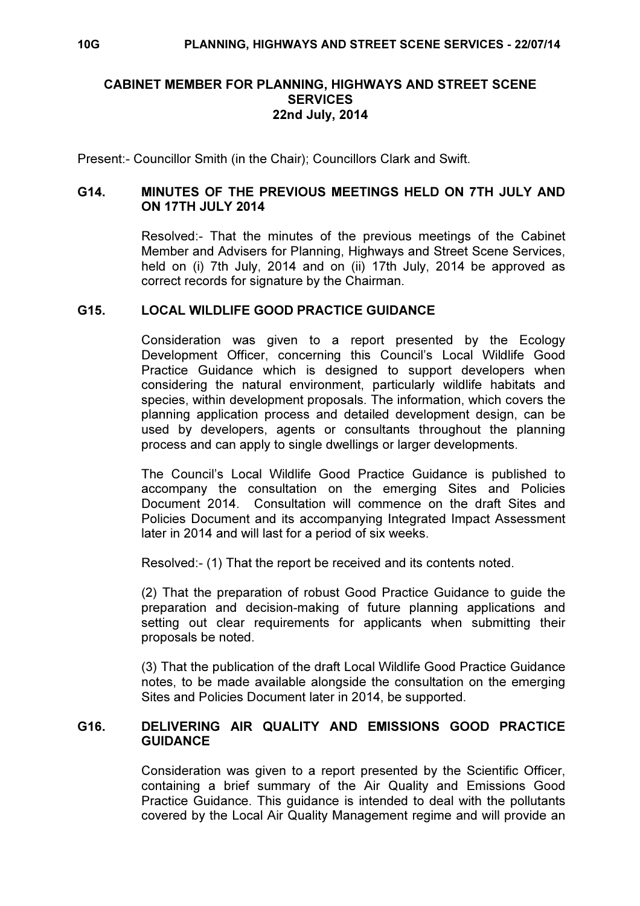# CABINET MEMBER FOR PLANNING, HIGHWAYS AND STREET SCENE **SERVICES** 22nd July, 2014

Present:- Councillor Smith (in the Chair); Councillors Clark and Swift.

## G14. MINUTES OF THE PREVIOUS MEETINGS HELD ON 7TH JULY AND ON 17TH JULY 2014

 Resolved:- That the minutes of the previous meetings of the Cabinet Member and Advisers for Planning, Highways and Street Scene Services, held on (i) 7th July, 2014 and on (ii) 17th July, 2014 be approved as correct records for signature by the Chairman.

### G15. LOCAL WILDLIFE GOOD PRACTICE GUIDANCE

 Consideration was given to a report presented by the Ecology Development Officer, concerning this Council's Local Wildlife Good Practice Guidance which is designed to support developers when considering the natural environment, particularly wildlife habitats and species, within development proposals. The information, which covers the planning application process and detailed development design, can be used by developers, agents or consultants throughout the planning process and can apply to single dwellings or larger developments.

The Council's Local Wildlife Good Practice Guidance is published to accompany the consultation on the emerging Sites and Policies Document 2014. Consultation will commence on the draft Sites and Policies Document and its accompanying Integrated Impact Assessment later in 2014 and will last for a period of six weeks.

Resolved:- (1) That the report be received and its contents noted.

(2) That the preparation of robust Good Practice Guidance to guide the preparation and decision-making of future planning applications and setting out clear requirements for applicants when submitting their proposals be noted.

(3) That the publication of the draft Local Wildlife Good Practice Guidance notes, to be made available alongside the consultation on the emerging Sites and Policies Document later in 2014, be supported.

## G16. DELIVERING AIR QUALITY AND EMISSIONS GOOD PRACTICE **GUIDANCE**

 Consideration was given to a report presented by the Scientific Officer, containing a brief summary of the Air Quality and Emissions Good Practice Guidance. This guidance is intended to deal with the pollutants covered by the Local Air Quality Management regime and will provide an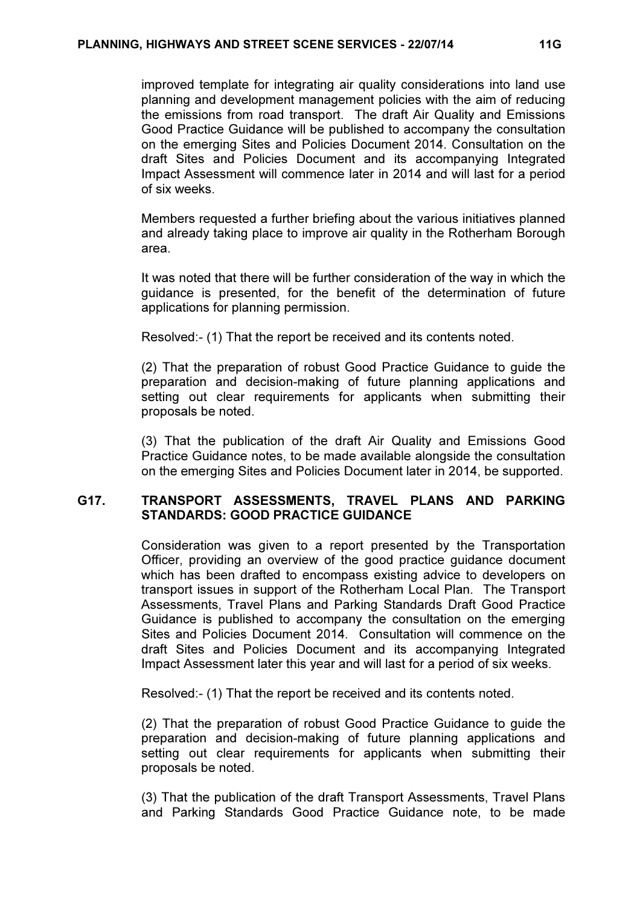improved template for integrating air quality considerations into land use planning and development management policies with the aim of reducing the emissions from road transport. The draft Air Quality and Emissions Good Practice Guidance will be published to accompany the consultation on the emerging Sites and Policies Document 2014. Consultation on the draft Sites and Policies Document and its accompanying Integrated Impact Assessment will commence later in 2014 and will last for a period of six weeks.

Members requested a further briefing about the various initiatives planned and already taking place to improve air quality in the Rotherham Borough area.

It was noted that there will be further consideration of the way in which the guidance is presented, for the benefit of the determination of future applications for planning permission.

Resolved:- (1) That the report be received and its contents noted.

(2) That the preparation of robust Good Practice Guidance to guide the preparation and decision-making of future planning applications and setting out clear requirements for applicants when submitting their proposals be noted.

(3) That the publication of the draft Air Quality and Emissions Good Practice Guidance notes, to be made available alongside the consultation on the emerging Sites and Policies Document later in 2014, be supported.

# G17. TRANSPORT ASSESSMENTS, TRAVEL PLANS AND PARKING STANDARDS: GOOD PRACTICE GUIDANCE

 Consideration was given to a report presented by the Transportation Officer, providing an overview of the good practice guidance document which has been drafted to encompass existing advice to developers on transport issues in support of the Rotherham Local Plan. The Transport Assessments, Travel Plans and Parking Standards Draft Good Practice Guidance is published to accompany the consultation on the emerging Sites and Policies Document 2014. Consultation will commence on the draft Sites and Policies Document and its accompanying Integrated Impact Assessment later this year and will last for a period of six weeks.

Resolved:- (1) That the report be received and its contents noted.

(2) That the preparation of robust Good Practice Guidance to guide the preparation and decision-making of future planning applications and setting out clear requirements for applicants when submitting their proposals be noted.

(3) That the publication of the draft Transport Assessments, Travel Plans and Parking Standards Good Practice Guidance note, to be made